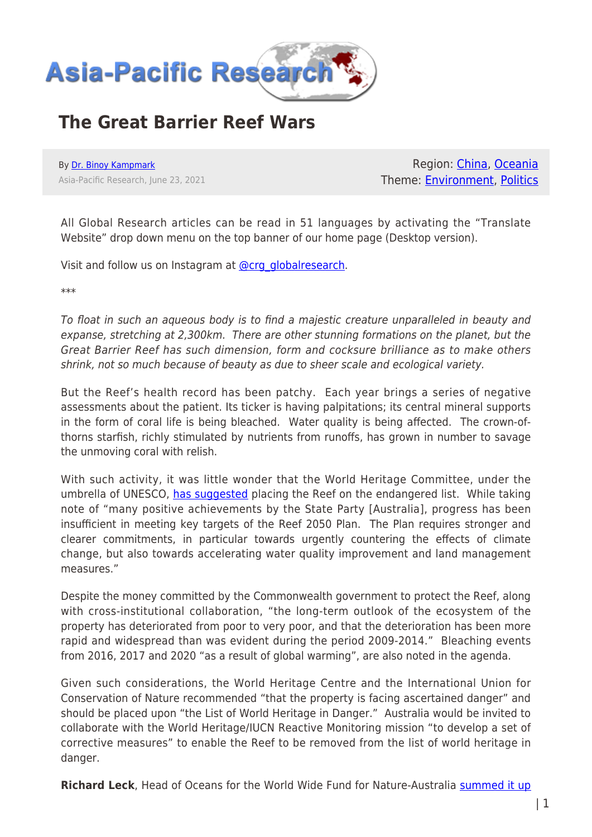

## **The Great Barrier Reef Wars**

By [Dr. Binoy Kampmark](https://www.asia-pacificresearch.com/author/binoy-kampmark) Asia-Pacific Research, June 23, 2021

Region: [China](https://www.asia-pacificresearch.com/region/china), [Oceania](https://www.asia-pacificresearch.com/region/as-oceania) Theme: [Environment,](https://www.asia-pacificresearch.com/theme/environment) [Politics](https://www.asia-pacificresearch.com/theme/politics)

All Global Research articles can be read in 51 languages by activating the "Translate Website" drop down menu on the top banner of our home page (Desktop version).

Visit and follow us on Instagram at [@crg\\_globalresearch.](https://www.instagram.com/crg_globalresearch/)

\*\*\*

To float in such an aqueous body is to find a majestic creature unparalleled in beauty and expanse, stretching at 2,300km. There are other stunning formations on the planet, but the Great Barrier Reef has such dimension, form and cocksure brilliance as to make others shrink, not so much because of beauty as due to sheer scale and ecological variety.

But the Reef's health record has been patchy. Each year brings a series of negative assessments about the patient. Its ticker is having palpitations; its central mineral supports in the form of coral life is being bleached. Water quality is being affected. The crown-ofthorns starfish, richly stimulated by nutrients from runoffs, has grown in number to savage the unmoving coral with relish.

With such activity, it was little wonder that the World Heritage Committee, under the umbrella of UNESCO, [has suggested](https://whc.unesco.org/archive/2021/whc21-44com-7B.Add-en.pdf) placing the Reef on the endangered list. While taking note of "many positive achievements by the State Party [Australia], progress has been insufficient in meeting key targets of the Reef 2050 Plan. The Plan requires stronger and clearer commitments, in particular towards urgently countering the effects of climate change, but also towards accelerating water quality improvement and land management measures."

Despite the money committed by the Commonwealth government to protect the Reef, along with cross-institutional collaboration, "the long-term outlook of the ecosystem of the property has deteriorated from poor to very poor, and that the deterioration has been more rapid and widespread than was evident during the period 2009-2014." Bleaching events from 2016, 2017 and 2020 "as a result of global warming", are also noted in the agenda.

Given such considerations, the World Heritage Centre and the International Union for Conservation of Nature recommended "that the property is facing ascertained danger" and should be placed upon "the List of World Heritage in Danger." Australia would be invited to collaborate with the World Heritage/IUCN Reactive Monitoring mission "to develop a set of corrective measures" to enable the Reef to be removed from the list of world heritage in danger.

Richard Leck, Head of Oceans for the World Wide Fund for Nature-Australia [summed it up](https://www.bbc.com/news/world-australia-57562685)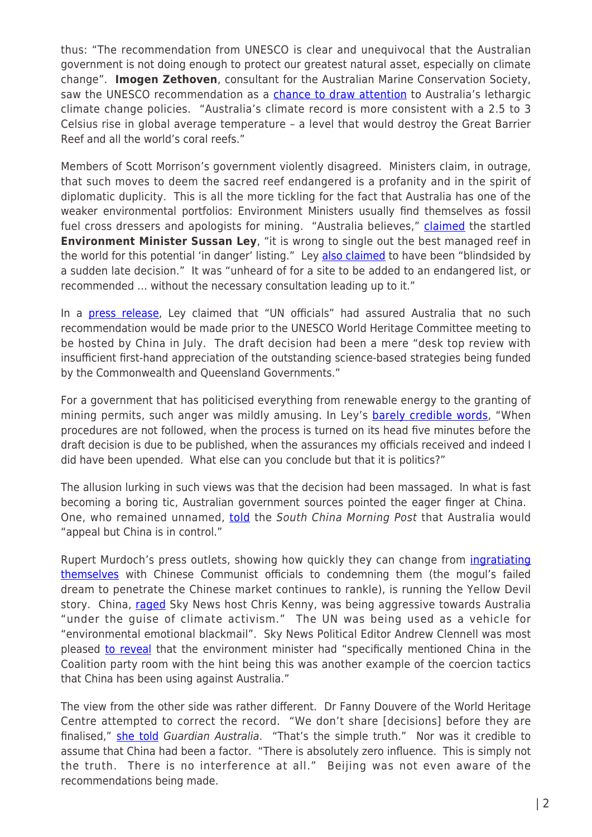thus: "The recommendation from UNESCO is clear and unequivocal that the Australian government is not doing enough to protect our greatest natural asset, especially on climate change". **Imogen Zethoven**, consultant for the Australian Marine Conservation Society, saw the UNESCO recommendation as a [chance to draw attention](https://www.scmp.com/news/asia/australasia/article/3138270/australia-hits-out-politics-over-unesco-downgrade-plan-great) to Australia's lethargic climate change policies. "Australia's climate record is more consistent with a 2.5 to 3 Celsius rise in global average temperature – a level that would destroy the Great Barrier Reef and all the world's coral reefs."

Members of Scott Morrison's government violently disagreed. Ministers claim, in outrage, that such moves to deem the sacred reef endangered is a profanity and in the spirit of diplomatic duplicity. This is all the more tickling for the fact that Australia has one of the weaker environmental portfolios: Environment Ministers usually find themselves as fossil fuel cross dressers and apologists for mining. "Australia believes," [claimed](https://www.bbc.com/news/world-australia-57562685) the startled **Environment Minister Sussan Ley,** "it is wrong to single out the best managed reef in the world for this potential 'in danger' listing." Ley [also claimed](https://www.abc.net.au/news/2021-06-22/environment-minister-great-barrier-reef-listed-in-danger/100233088) to have been "blindsided by a sudden late decision." It was "unheard of for a site to be added to an endangered list, or recommended … without the necessary consultation leading up to it."

In a [press release,](https://minister.awe.gov.au/ley/media-releases/australia-challenges-unesco-draft-reef-reccommendation) Ley claimed that "UN officials" had assured Australia that no such recommendation would be made prior to the UNESCO World Heritage Committee meeting to be hosted by China in July. The draft decision had been a mere "desk top review with insufficient first-hand appreciation of the outstanding science-based strategies being funded by the Commonwealth and Queensland Governments."

For a government that has politicised everything from renewable energy to the granting of mining permits, such anger was mildly amusing. In Ley's **barely credible words**, "When procedures are not followed, when the process is turned on its head five minutes before the draft decision is due to be published, when the assurances my officials received and indeed I did have been upended. What else can you conclude but that it is politics?"

The allusion lurking in such views was that the decision had been massaged. In what is fast becoming a boring tic, Australian government sources pointed the eager finger at China. One, who remained unnamed, [told](https://www.scmp.com/news/asia/australasia/article/3138270/australia-hits-out-politics-over-unesco-downgrade-plan-great) the South China Morning Post that Australia would "appeal but China is in control."

Rupert Murdoch's press outlets, showing how quickly they can change from *[ingratiating](https://www.nytimes.com/2007/06/26/world/asia/26murdoch.html)* [themselves](https://www.nytimes.com/2007/06/26/world/asia/26murdoch.html) with Chinese Communist officials to condemning them (the mogul's failed dream to penetrate the Chinese market continues to rankle), is running the Yellow Devil story. China, [raged](https://www.skynews.com.au/details/_6260174713001) Sky News host Chris Kenny, was being aggressive towards Australia "under the guise of climate activism." The UN was being used as a vehicle for "environmental emotional blackmail". Sky News Political Editor Andrew Clennell was most pleased [to reveal](https://www.theaustralian.com.au/news/china-specifically-mentioned-in-coalition-meeting-about-unesco/video/6d6d8cb51f276d2a893a01c0409c1dbf) that the environment minister had "specifically mentioned China in the Coalition party room with the hint being this was another example of the coercion tactics that China has been using against Australia."

The view from the other side was rather different. Dr Fanny Douvere of the World Heritage Centre attempted to correct the record. "We don't share [decisions] before they are finalised," [she told](https://www.theguardian.com/environment/2021/jun/23/un-official-rejects-australias-claim-it-was-told-great-barrier-reef-wouldnt-be-listed-as-in-danger) Guardian Australia. "That's the simple truth." Nor was it credible to assume that China had been a factor. "There is absolutely zero influence. This is simply not the truth. There is no interference at all." Beijing was not even aware of the recommendations being made.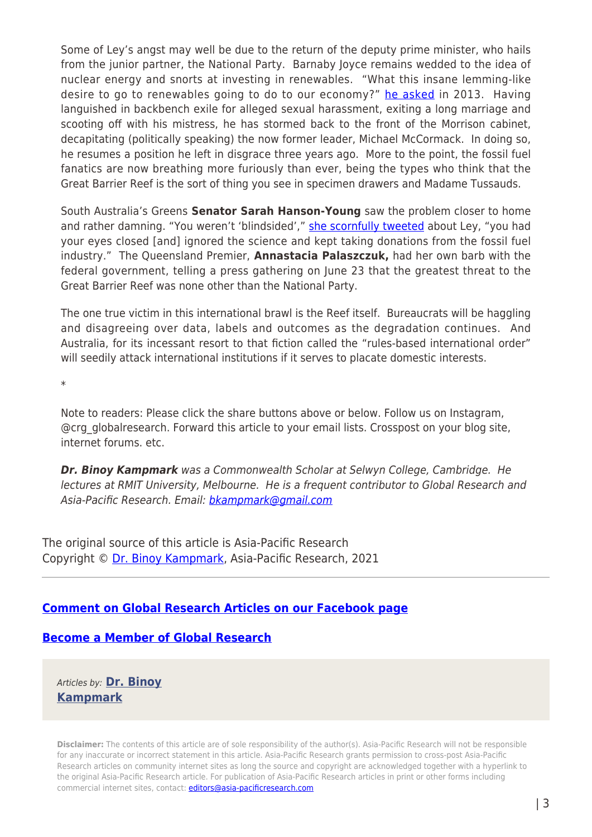Some of Ley's angst may well be due to the return of the deputy prime minister, who hails from the junior partner, the National Party. Barnaby Joyce remains wedded to the idea of nuclear energy and snorts at investing in renewables. "What this insane lemming-like desire to go to renewables going to do to our economy?" [he asked](http://www.openaustralia.org/senate/?id=2013-02-06.203.2&s=barnaby+joyce#g210.1) in 2013. Having languished in backbench exile for alleged sexual harassment, exiting a long marriage and scooting off with his mistress, he has stormed back to the front of the Morrison cabinet, decapitating (politically speaking) the now former leader, Michael McCormack. In doing so, he resumes a position he left in disgrace three years ago. More to the point, the fossil fuel fanatics are now breathing more furiously than ever, being the types who think that the Great Barrier Reef is the sort of thing you see in specimen drawers and Madame Tussauds.

South Australia's Greens **Senator Sarah Hanson-Young** saw the problem closer to home and rather damning. "You weren't 'blindsided'," [she scornfully tweeted](https://twitter.com/sarahinthesen8/status/1407101821202571267) about Ley, "you had your eyes closed [and] ignored the science and kept taking donations from the fossil fuel industry." The Queensland Premier, **Annastacia Palaszczuk,** had her own barb with the federal government, telling a press gathering on June 23 that the greatest threat to the Great Barrier Reef was none other than the National Party.

The one true victim in this international brawl is the Reef itself. Bureaucrats will be haggling and disagreeing over data, labels and outcomes as the degradation continues. And Australia, for its incessant resort to that fiction called the "rules-based international order" will seedily attack international institutions if it serves to placate domestic interests.

\*

Note to readers: Please click the share buttons above or below. Follow us on Instagram, @crg\_globalresearch. Forward this article to your email lists. Crosspost on your blog site, internet forums. etc.

*Dr. Binoy Kampmark* was a Commonwealth Scholar at Selwyn College, Cambridge. He lectures at RMIT University, Melbourne. He is a frequent contributor to Global Research and Asia-Pacific Research. Email: [bkampmark@gmail.com](mailto:bkampmark@gmail.com)

The original source of this article is Asia-Pacific Research Copyright © [Dr. Binoy Kampmark](https://www.asia-pacificresearch.com/author/binoy-kampmark), Asia-Pacific Research, 2021

## **[Comment on Global Research Articles on our Facebook page](https://www.facebook.com/GlobalResearchCRG)**

## **[Become a Member of Global Research](https://store.globalresearch.ca/member/)**

Articles by: **[Dr. Binoy](https://www.asia-pacificresearch.com/author/binoy-kampmark) [Kampmark](https://www.asia-pacificresearch.com/author/binoy-kampmark)**

**Disclaimer:** The contents of this article are of sole responsibility of the author(s). Asia-Pacific Research will not be responsible for any inaccurate or incorrect statement in this article. Asia-Pacific Research grants permission to cross-post Asia-Pacific Research articles on community internet sites as long the source and copyright are acknowledged together with a hyperlink to the original Asia-Pacific Research article. For publication of Asia-Pacific Research articles in print or other forms including commercial internet sites, contact: *[editors@asia-pacificresearch.com](mailto:editors@asia-pacificresearch.com)*